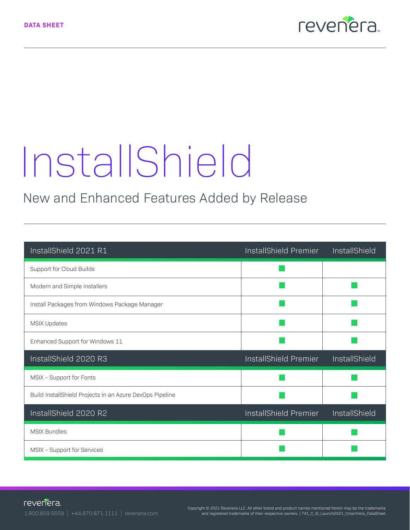

# InstallShield

## New and Enhanced Features Added by Release

| InstallShield 2021 R1                                    | InstallShield Premier | <b>InstallShield</b> |
|----------------------------------------------------------|-----------------------|----------------------|
| Support for Cloud Builds                                 |                       |                      |
| Modern and Simple Installers                             |                       |                      |
| Install Packages from Windows Package Manager            |                       |                      |
| MSIX Updates                                             |                       |                      |
| Enhanced Support for Windows 11                          |                       |                      |
| InstallShield 2020 R3                                    | InstallShield Premier | InstallShield        |
| MSIX - Support for Fonts                                 |                       |                      |
| Build InstallShield Projects in an Azure DevOps Pipeline |                       |                      |
| InstallShield 2020 R2                                    | InstallShield Premier | InstallShield        |
| MSIX Bundles                                             |                       |                      |
| MSIX - Support for Services                              |                       |                      |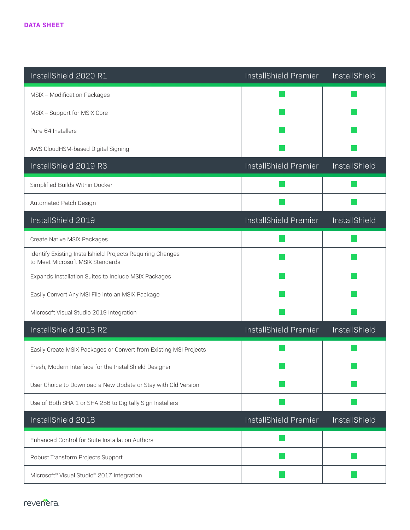| InstallShield 2020 R1                                                                          | InstallShield Premier | InstallShield |
|------------------------------------------------------------------------------------------------|-----------------------|---------------|
| MSIX - Modification Packages                                                                   |                       |               |
| MSIX - Support for MSIX Core                                                                   |                       |               |
| Pure 64 Installers                                                                             |                       |               |
| AWS CloudHSM-based Digital Signing                                                             |                       |               |
| InstallShield 2019 R3                                                                          | InstallShield Premier | InstallShield |
| Simplified Builds Within Docker                                                                |                       |               |
| Automated Patch Design                                                                         |                       |               |
| InstallShield 2019                                                                             | InstallShield Premier | InstallShield |
| Create Native MSIX Packages                                                                    |                       |               |
| Identify Existing Installshield Projects Requiring Changes<br>to Meet Microsoft MSIX Standards |                       |               |
| Expands Installation Suites to Include MSIX Packages                                           |                       |               |
| Easily Convert Any MSI File into an MSIX Package                                               |                       |               |
| Microsoft Visual Studio 2019 Integration                                                       |                       |               |
| InstallShield 2018 R2                                                                          | InstallShield Premier | InstallShield |
| Easily Create MSIX Packages or Convert from Existing MSI Projects                              |                       |               |
| Fresh, Modern Interface for the InstallShield Designer                                         |                       |               |
| User Choice to Download a New Update or Stay with Old Version                                  |                       |               |
| Use of Both SHA 1 or SHA 256 to Digitally Sign Installers                                      |                       |               |
| InstallShield 2018                                                                             | InstallShield Premier | InstallShield |
| Enhanced Control for Suite Installation Authors                                                |                       |               |
| Robust Transform Projects Support                                                              |                       |               |
| Microsoft <sup>®</sup> Visual Studio <sup>®</sup> 2017 Integration                             |                       |               |